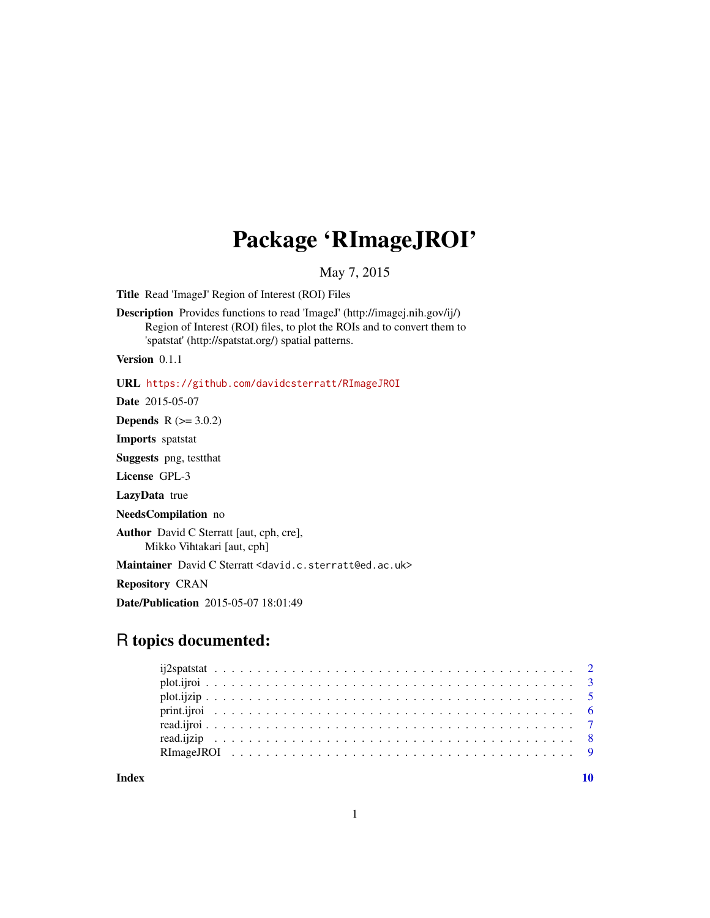## Package 'RImageJROI'

May 7, 2015

<span id="page-0-0"></span>Title Read 'ImageJ' Region of Interest (ROI) Files

Description Provides functions to read 'ImageJ' (http://imagej.nih.gov/ij/) Region of Interest (ROI) files, to plot the ROIs and to convert them to 'spatstat' (http://spatstat.org/) spatial patterns.

Version 0.1.1

URL <https://github.com/davidcsterratt/RImageJROI>

Date 2015-05-07

**Depends**  $R$  ( $>= 3.0.2$ )

Imports spatstat

Suggests png, testthat

License GPL-3

LazyData true

NeedsCompilation no

Author David C Sterratt [aut, cph, cre], Mikko Vihtakari [aut, cph]

Maintainer David C Sterratt <david.c.sterratt@ed.ac.uk>

Repository CRAN

Date/Publication 2015-05-07 18:01:49

## R topics documented:

 $\blacksquare$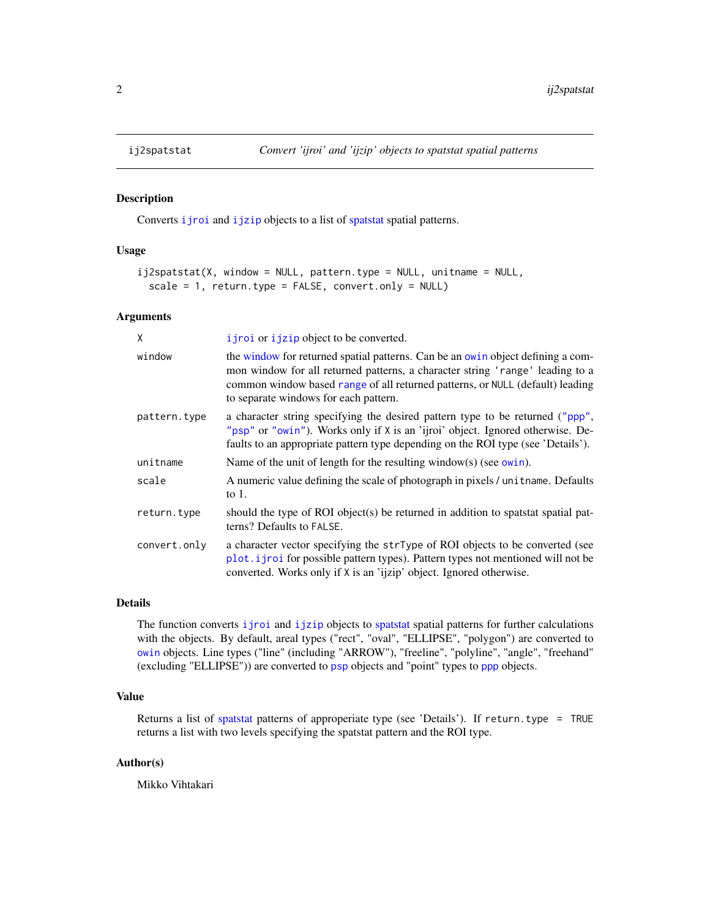Converts *i* jroi and *i* jzip objects to a list of [spatstat](#page-0-0) spatial patterns.

#### Usage

```
ij2spatstat(X, window = NULL, pattern.type = NULL, unitname = NULL,
  scale = 1, return.type = FALSE, convert.only = NULL)
```
#### Arguments

| X            | i j roi or i j zip object to be converted.                                                                                                                                                                                                                                                 |
|--------------|--------------------------------------------------------------------------------------------------------------------------------------------------------------------------------------------------------------------------------------------------------------------------------------------|
| window       | the window for returned spatial patterns. Can be an owin object defining a com-<br>mon window for all returned patterns, a character string 'range' leading to a<br>common window based range of all returned patterns, or NULL (default) leading<br>to separate windows for each pattern. |
| pattern.type | a character string specifying the desired pattern type to be returned ("ppp",<br>"psp" or "owin"). Works only if X is an 'ijroi' object. Ignored otherwise. De-<br>faults to an appropriate pattern type depending on the ROI type (see 'Details').                                        |
| unitname     | Name of the unit of length for the resulting window(s) (see owin).                                                                                                                                                                                                                         |
| scale        | A numeric value defining the scale of photograph in pixels / unit name. Defaults<br>to $1$ .                                                                                                                                                                                               |
| return.type  | should the type of ROI object(s) be returned in addition to spatstat spatial pat-<br>terns? Defaults to FALSE.                                                                                                                                                                             |
| convert.only | a character vector specifying the strType of ROI objects to be converted (see<br>plot. <i>i</i> jroi for possible pattern types). Pattern types not mentioned will not be<br>converted. Works only if X is an 'ijzip' object. Ignored otherwise.                                           |

#### Details

The function converts [ijroi](#page-6-1) and [ijzip](#page-7-1) objects to [spatstat](#page-0-0) spatial patterns for further calculations with the objects. By default, areal types ("rect", "oval", "ELLIPSE", "polygon") are converted to [owin](#page-0-0) objects. Line types ("line" (including "ARROW"), "freeline", "polyline", "angle", "freehand" (excluding "ELLIPSE")) are converted to [psp](#page-0-0) objects and "point" types to [ppp](#page-0-0) objects.

#### Value

Returns a list of [spatstat](#page-0-0) patterns of approperiate type (see 'Details'). If return.type = TRUE returns a list with two levels specifying the spatstat pattern and the ROI type.

## Author(s)

Mikko Vihtakari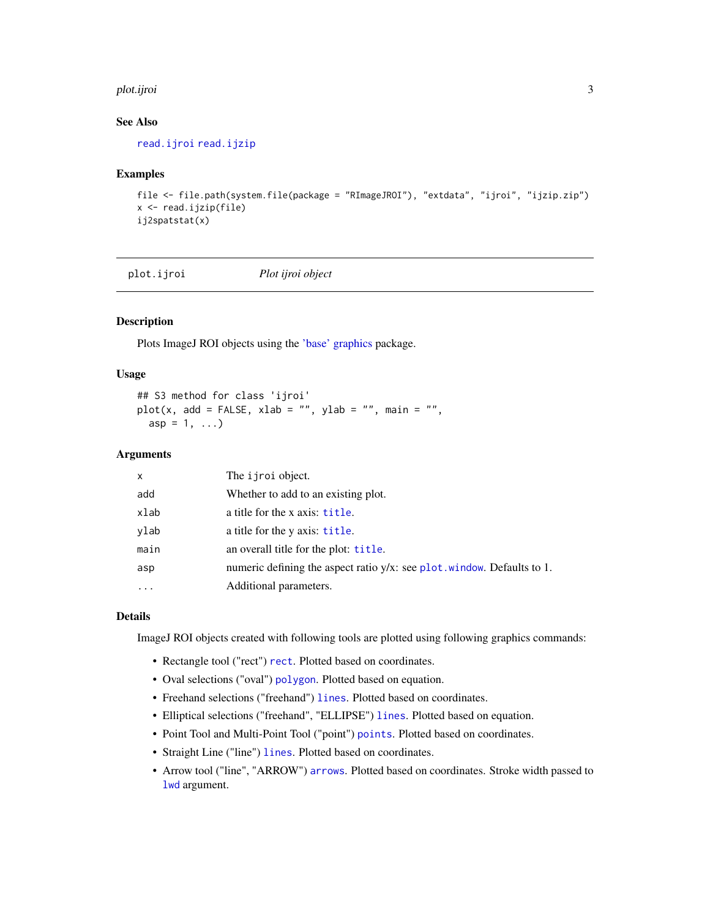#### <span id="page-2-0"></span>plot.ijroi 3

## See Also

[read.ijroi](#page-6-1) [read.ijzip](#page-7-1)

#### Examples

```
file <- file.path(system.file(package = "RImageJROI"), "extdata", "ijroi", "ijzip.zip")
x \leftarrow read.ijzip(file)
ij2spatstat(x)
```
<span id="page-2-1"></span>plot.ijroi *Plot ijroi object*

#### Description

Plots ImageJ ROI objects using the ['base' graphics](#page-0-0) package.

#### Usage

```
## S3 method for class 'ijroi'
plot(x, add = FALSE, xlab = "", ylab = "", main = "",asp = 1, ...)
```
## Arguments

| x    | The <i>i</i> jroi object.                                                  |
|------|----------------------------------------------------------------------------|
| add  | Whether to add to an existing plot.                                        |
| xlab | a title for the x axis: title.                                             |
| ylab | a title for the y axis: title.                                             |
| main | an overall title for the plot: title.                                      |
| asp  | numeric defining the aspect ratio $y/x$ : see plot. window. Defaults to 1. |
| .    | Additional parameters.                                                     |

## Details

ImageJ ROI objects created with following tools are plotted using following graphics commands:

- Rectangle tool ("rect") [rect](#page-0-0). Plotted based on coordinates.
- Oval selections ("oval") [polygon](#page-0-0). Plotted based on equation.
- Freehand selections ("freehand") [lines](#page-0-0). Plotted based on coordinates.
- Elliptical selections ("freehand", "ELLIPSE") [lines](#page-0-0). Plotted based on equation.
- Point Tool and Multi-Point Tool ("point") [points](#page-0-0). Plotted based on coordinates.
- Straight Line ("line") [lines](#page-0-0). Plotted based on coordinates.
- Arrow tool ("line", "ARROW") [arrows](#page-0-0). Plotted based on coordinates. Stroke width passed to [lwd](#page-0-0) argument.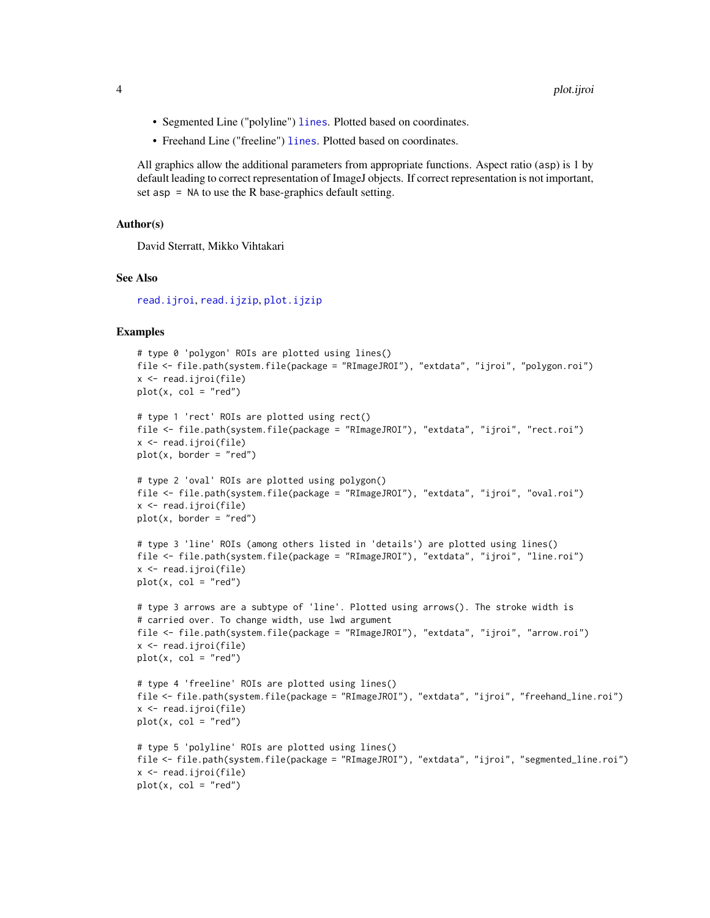- <span id="page-3-0"></span>• Segmented Line ("polyline") [lines](#page-0-0). Plotted based on coordinates.
- Freehand Line ("freeline") [lines](#page-0-0). Plotted based on coordinates.

All graphics allow the additional parameters from appropriate functions. Aspect ratio (asp) is 1 by default leading to correct representation of ImageJ objects. If correct representation is not important, set asp  $=$  NA to use the R base-graphics default setting.

## Author(s)

David Sterratt, Mikko Vihtakari

#### See Also

[read.ijroi](#page-6-1), [read.ijzip](#page-7-1), [plot.ijzip](#page-4-1)

## Examples

```
# type 0 'polygon' ROIs are plotted using lines()
file <- file.path(system.file(package = "RImageJROI"), "extdata", "ijroi", "polygon.roi")
x <- read.ijroi(file)
plot(x, col = "red")# type 1 'rect' ROIs are plotted using rect()
file <- file.path(system.file(package = "RImageJROI"), "extdata", "ijroi", "rect.roi")
x <- read.ijroi(file)
plot(x, border = "red")# type 2 'oval' ROIs are plotted using polygon()
file <- file.path(system.file(package = "RImageJROI"), "extdata", "ijroi", "oval.roi")
x <- read.ijroi(file)
plot(x, border = "red")# type 3 'line' ROIs (among others listed in 'details') are plotted using lines()
file <- file.path(system.file(package = "RImageJROI"), "extdata", "ijroi", "line.roi")
x <- read.ijroi(file)
plot(x, col = "red")# type 3 arrows are a subtype of 'line'. Plotted using arrows(). The stroke width is
# carried over. To change width, use lwd argument
file <- file.path(system.file(package = "RImageJROI"), "extdata", "ijroi", "arrow.roi")
x <- read.ijroi(file)
plot(x, col = "red")# type 4 'freeline' ROIs are plotted using lines()
file <- file.path(system.file(package = "RImageJROI"), "extdata", "ijroi", "freehand_line.roi")
x <- read.ijroi(file)
plot(x, col = "red")# type 5 'polyline' ROIs are plotted using lines()
file <- file.path(system.file(package = "RImageJROI"), "extdata", "ijroi", "segmented_line.roi")
x <- read.ijroi(file)
plot(x, col = "red")
```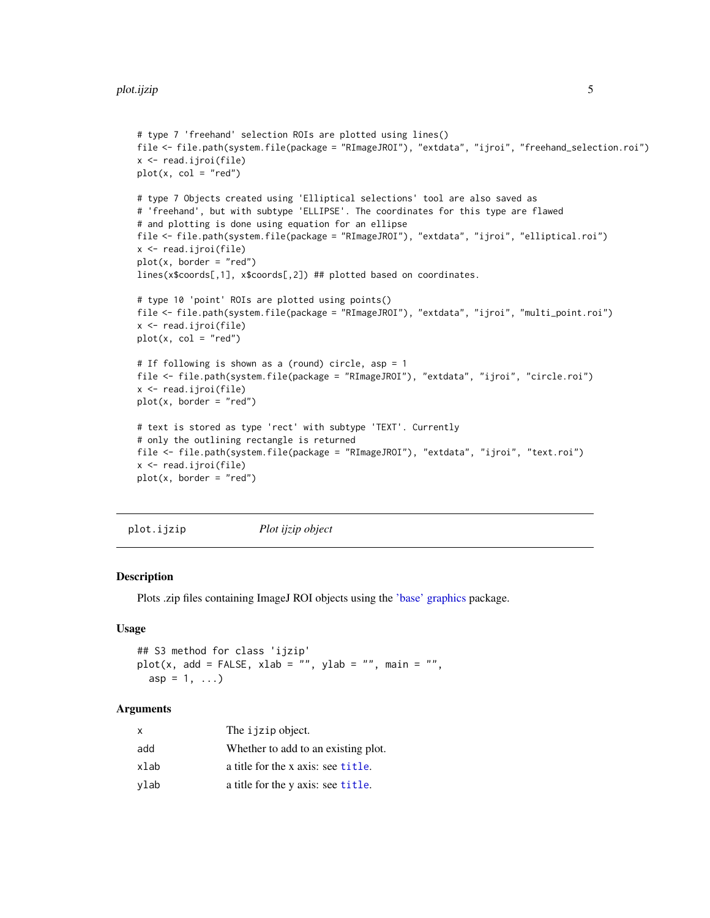```
# type 7 'freehand' selection ROIs are plotted using lines()
file <- file.path(system.file(package = "RImageJROI"), "extdata", "ijroi", "freehand_selection.roi")
x <- read.ijroi(file)
plot(x, col = "red")# type 7 Objects created using 'Elliptical selections' tool are also saved as
# 'freehand', but with subtype 'ELLIPSE'. The coordinates for this type are flawed
# and plotting is done using equation for an ellipse
file <- file.path(system.file(package = "RImageJROI"), "extdata", "ijroi", "elliptical.roi")
x <- read.ijroi(file)
plot(x, border = "red")lines(x$coords[,1], x$coords[,2]) ## plotted based on coordinates.
# type 10 'point' ROIs are plotted using points()
file <- file.path(system.file(package = "RImageJROI"), "extdata", "ijroi", "multi_point.roi")
x <- read.ijroi(file)
plot(x, col = "red")# If following is shown as a (round) circle, asp = 1
file <- file.path(system.file(package = "RImageJROI"), "extdata", "ijroi", "circle.roi")
x <- read.ijroi(file)
plot(x, border = "red")# text is stored as type 'rect' with subtype 'TEXT'. Currently
# only the outlining rectangle is returned
file <- file.path(system.file(package = "RImageJROI"), "extdata", "ijroi", "text.roi")
x <- read.ijroi(file)
plot(x, border = "red")
```

```
plot.ijzip Plot ijzip object
```
Plots .zip files containing ImageJ ROI objects using the ['base' graphics](#page-0-0) package.

## Usage

```
## S3 method for class 'ijzip'
plot(x, add = FALSE, xlab = "", ylab = "", main = "",asp = 1, ...)
```
#### Arguments

| x    | The ijzip object.                   |
|------|-------------------------------------|
| add  | Whether to add to an existing plot. |
| xlab | a title for the x axis: see title.  |
| vlab | a title for the y axis: see title.  |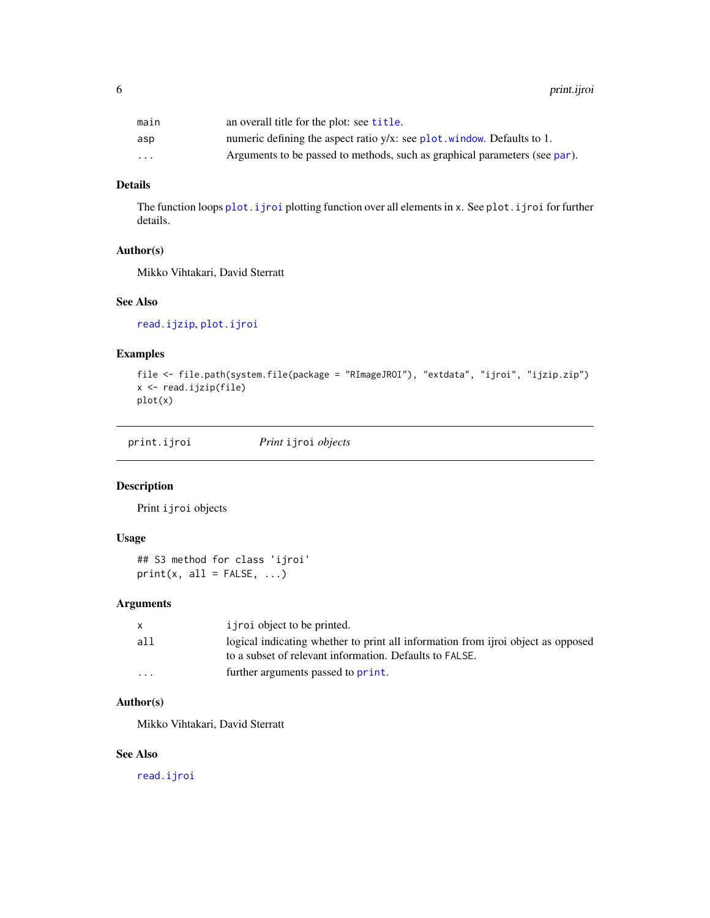<span id="page-5-0"></span>

| main                    | an overall title for the plot: see <b>title</b> .                          |
|-------------------------|----------------------------------------------------------------------------|
| asp                     | numeric defining the aspect ratio $y/x$ : see plot window. Defaults to 1.  |
| $\cdot$ $\cdot$ $\cdot$ | Arguments to be passed to methods, such as graphical parameters (see par). |

## Details

The function loops [plot.ijroi](#page-2-1) plotting function over all elements in x. See plot.ijroi for further details.

## Author(s)

Mikko Vihtakari, David Sterratt

## See Also

[read.ijzip](#page-7-1), [plot.ijroi](#page-2-1)

## Examples

```
file <- file.path(system.file(package = "RImageJROI"), "extdata", "ijroi", "ijzip.zip")
x <- read.ijzip(file)
plot(x)
```
print.ijroi *Print* ijroi *objects*

## Description

Print ijroi objects

## Usage

```
## S3 method for class 'ijroi'
print(x, all = FALSE, ...)
```
## Arguments

|                         | i j roi object to be printed.                                                                                                               |
|-------------------------|---------------------------------------------------------------------------------------------------------------------------------------------|
| all                     | logical indicating whether to print all information from ijroi object as opposed<br>to a subset of relevant information. Defaults to FALSE. |
| $\cdot$ $\cdot$ $\cdot$ | further arguments passed to print.                                                                                                          |

## Author(s)

Mikko Vihtakari, David Sterratt

#### See Also

[read.ijroi](#page-6-1)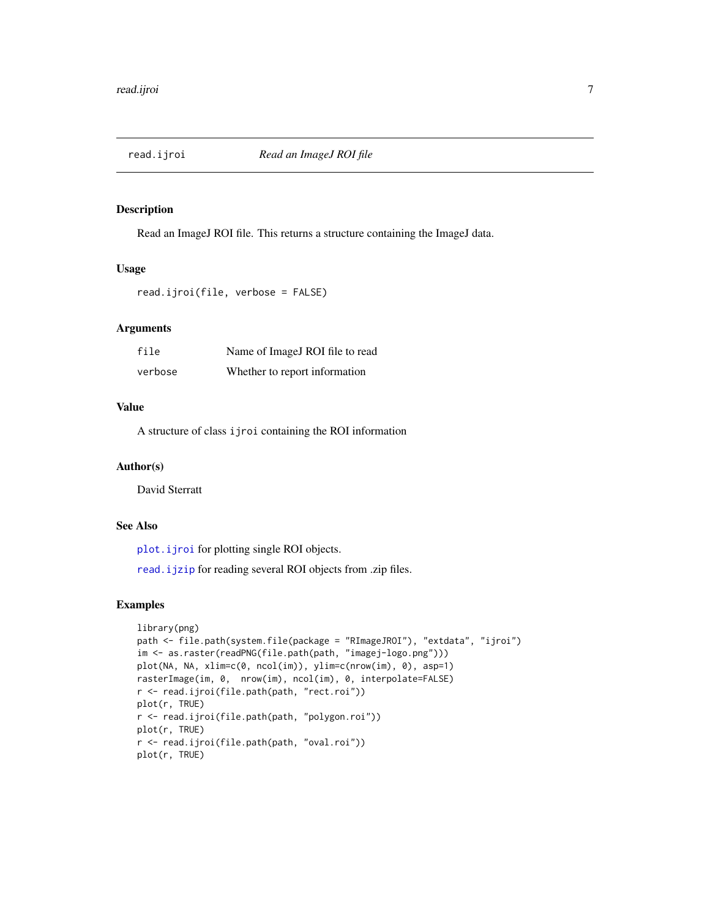<span id="page-6-1"></span><span id="page-6-0"></span>

Read an ImageJ ROI file. This returns a structure containing the ImageJ data.

#### Usage

```
read.ijroi(file, verbose = FALSE)
```
## Arguments

| file    | Name of ImageJ ROI file to read |
|---------|---------------------------------|
| verbose | Whether to report information   |

## Value

A structure of class ijroi containing the ROI information

## Author(s)

David Sterratt

## See Also

[plot.ijroi](#page-2-1) for plotting single ROI objects.

[read.ijzip](#page-7-1) for reading several ROI objects from .zip files.

## Examples

```
library(png)
path <- file.path(system.file(package = "RImageJROI"), "extdata", "ijroi")
im <- as.raster(readPNG(file.path(path, "imagej-logo.png")))
plot(NA, NA, xlim=c(0, ncol(im)), ylim=c(nrow(im), 0), asp=1)
rasterImage(im, 0, nrow(im), ncol(im), 0, interpolate=FALSE)
r <- read.ijroi(file.path(path, "rect.roi"))
plot(r, TRUE)
r <- read.ijroi(file.path(path, "polygon.roi"))
plot(r, TRUE)
r <- read.ijroi(file.path(path, "oval.roi"))
plot(r, TRUE)
```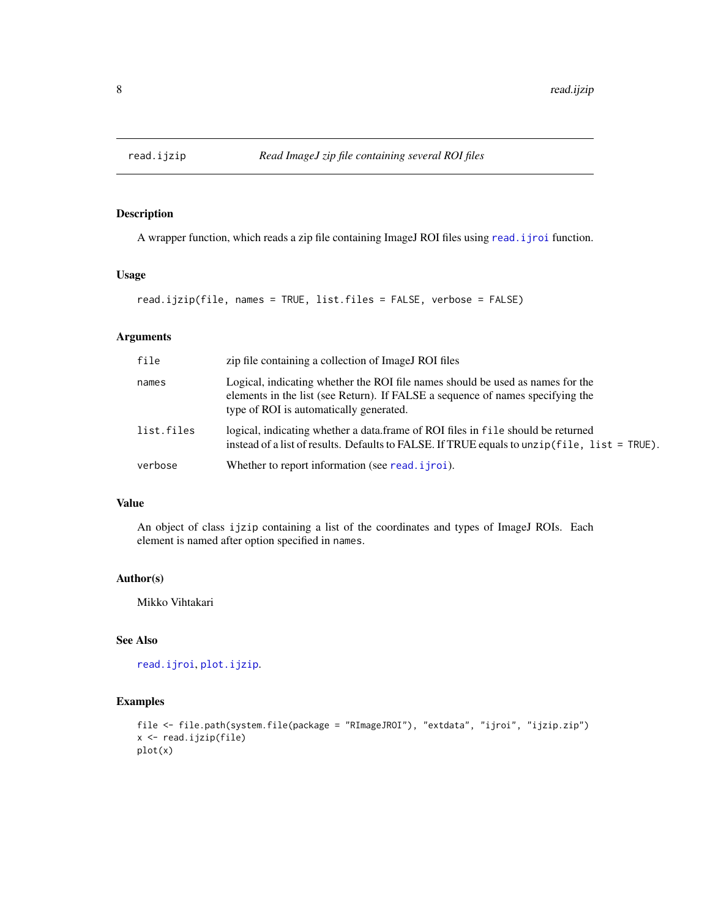<span id="page-7-1"></span><span id="page-7-0"></span>

A wrapper function, which reads a zip file containing ImageJ ROI files using [read.ijroi](#page-6-1) function.

## Usage

```
read.ijzip(file, names = TRUE, list.files = FALSE, verbose = FALSE)
```
## Arguments

| file       | zip file containing a collection of ImageJ ROI files                                                                                                                                                        |
|------------|-------------------------------------------------------------------------------------------------------------------------------------------------------------------------------------------------------------|
| names      | Logical, indicating whether the ROI file names should be used as names for the<br>elements in the list (see Return). If FALSE a sequence of names specifying the<br>type of ROI is automatically generated. |
| list.files | logical, indicating whether a data frame of ROI files in file should be returned<br>instead of a list of results. Defaults to FALSE. If TRUE equals to unzip $(file, list = TRUE)$ .                        |
| verbose    | Whether to report information (see read. <i>i</i> jroi).                                                                                                                                                    |

## Value

An object of class ijzip containing a list of the coordinates and types of ImageJ ROIs. Each element is named after option specified in names.

#### Author(s)

Mikko Vihtakari

## See Also

[read.ijroi](#page-6-1), [plot.ijzip](#page-4-1).

## Examples

```
file <- file.path(system.file(package = "RImageJROI"), "extdata", "ijroi", "ijzip.zip")
x <- read.ijzip(file)
plot(x)
```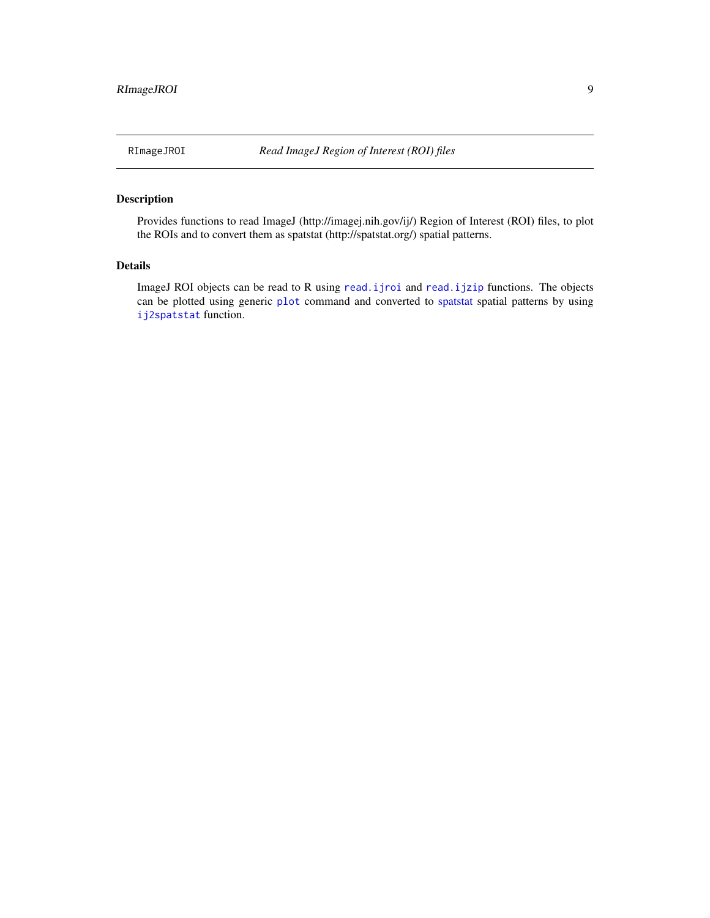<span id="page-8-0"></span>RImageJROI *Read ImageJ Region of Interest (ROI) files*

## Description

Provides functions to read ImageJ (http://imagej.nih.gov/ij/) Region of Interest (ROI) files, to plot the ROIs and to convert them as spatstat (http://spatstat.org/) spatial patterns.

## Details

ImageJ ROI objects can be read to R using [read.ijroi](#page-6-1) and [read.ijzip](#page-7-1) functions. The objects can be plotted using generic [plot](#page-2-1) command and converted to [spatstat](#page-0-0) spatial patterns by using [ij2spatstat](#page-1-1) function.